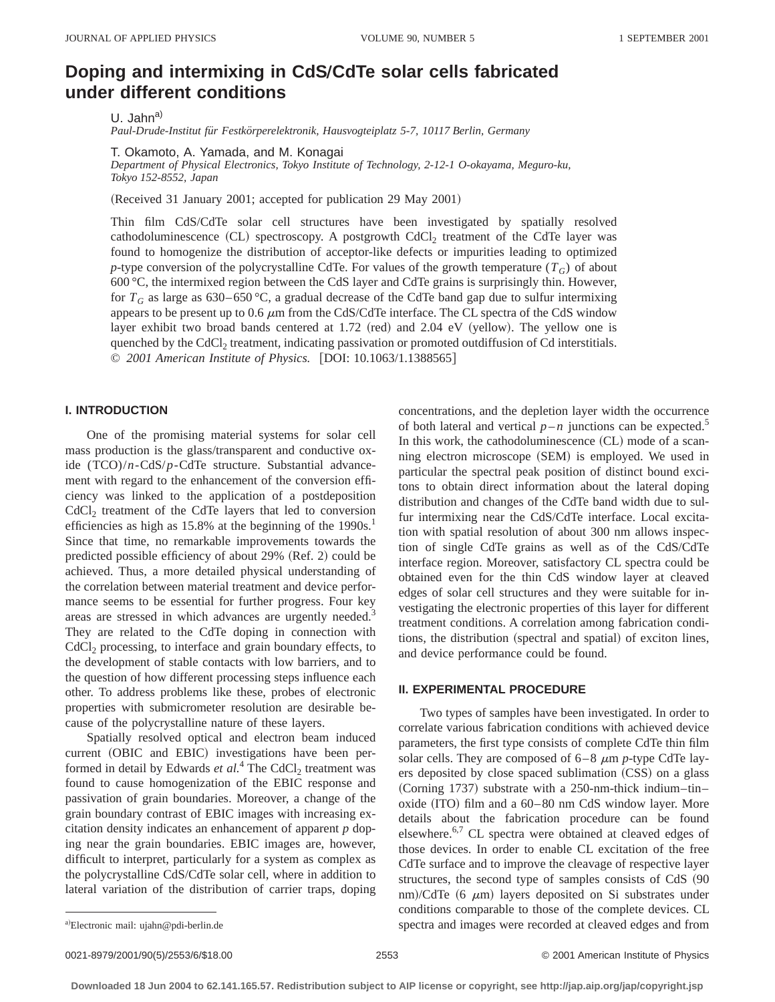# **Doping and intermixing in CdS/CdTe solar cells fabricated under different conditions**

U. Jahn $^{a)}$ 

*Paul-Drude-Institut fu¨r Festko¨rperelektronik, Hausvogteiplatz 5-7, 10117 Berlin, Germany*

T. Okamoto, A. Yamada, and M. Konagai

*Department of Physical Electronics, Tokyo Institute of Technology, 2-12-1 O-okayama, Meguro-ku, Tokyo 152-8552, Japan*

 $(Received 31 January 2001; accepted for publication 29 May 2001)$ 

Thin film CdS/CdTe solar cell structures have been investigated by spatially resolved cathodoluminescence  $(CL)$  spectroscopy. A postgrowth  $CdCl<sub>2</sub>$  treatment of the CdTe layer was found to homogenize the distribution of acceptor-like defects or impurities leading to optimized *p*-type conversion of the polycrystalline CdTe. For values of the growth temperature  $(T_G)$  of about 600 °C, the intermixed region between the CdS layer and CdTe grains is surprisingly thin. However, for  $T_G$  as large as 630–650 °C, a gradual decrease of the CdTe band gap due to sulfur intermixing appears to be present up to 0.6  $\mu$ m from the CdS/CdTe interface. The CL spectra of the CdS window layer exhibit two broad bands centered at  $1.72$  (red) and  $2.04$  eV (yellow). The yellow one is quenched by the  $CdCl<sub>2</sub>$  treatment, indicating passivation or promoted outdiffusion of Cd interstitials. © *2001 American Institute of Physics.* [DOI: 10.1063/1.1388565]

## **I. INTRODUCTION**

One of the promising material systems for solar cell mass production is the glass/transparent and conductive oxide (TCO)/*n*-CdS/*p*-CdTe structure. Substantial advancement with regard to the enhancement of the conversion efficiency was linked to the application of a postdeposition  $CdCl<sub>2</sub>$  treatment of the CdTe layers that led to conversion efficiencies as high as  $15.8\%$  at the beginning of the 1990s.<sup>1</sup> Since that time, no remarkable improvements towards the predicted possible efficiency of about 29% (Ref. 2) could be achieved. Thus, a more detailed physical understanding of the correlation between material treatment and device performance seems to be essential for further progress. Four key areas are stressed in which advances are urgently needed.<sup>3</sup> They are related to the CdTe doping in connection with  $CdCl<sub>2</sub> processing, to interface and grain boundary effects, to$ the development of stable contacts with low barriers, and to the question of how different processing steps influence each other. To address problems like these, probes of electronic properties with submicrometer resolution are desirable because of the polycrystalline nature of these layers.

Spatially resolved optical and electron beam induced current (OBIC and EBIC) investigations have been performed in detail by Edwards *et al.*<sup>4</sup> The CdCl<sub>2</sub> treatment was found to cause homogenization of the EBIC response and passivation of grain boundaries. Moreover, a change of the grain boundary contrast of EBIC images with increasing excitation density indicates an enhancement of apparent *p* doping near the grain boundaries. EBIC images are, however, difficult to interpret, particularly for a system as complex as the polycrystalline CdS/CdTe solar cell, where in addition to lateral variation of the distribution of carrier traps, doping concentrations, and the depletion layer width the occurrence of both lateral and vertical  $p - n$  junctions can be expected.<sup>5</sup> In this work, the cathodoluminescence  $(CL)$  mode of a scanning electron microscope (SEM) is employed. We used in particular the spectral peak position of distinct bound excitons to obtain direct information about the lateral doping distribution and changes of the CdTe band width due to sulfur intermixing near the CdS/CdTe interface. Local excitation with spatial resolution of about 300 nm allows inspection of single CdTe grains as well as of the CdS/CdTe interface region. Moreover, satisfactory CL spectra could be obtained even for the thin CdS window layer at cleaved edges of solar cell structures and they were suitable for investigating the electronic properties of this layer for different treatment conditions. A correlation among fabrication conditions, the distribution (spectral and spatial) of exciton lines, and device performance could be found.

# **II. EXPERIMENTAL PROCEDURE**

Two types of samples have been investigated. In order to correlate various fabrication conditions with achieved device parameters, the first type consists of complete CdTe thin film solar cells. They are composed of  $6-8 \mu m$  *p*-type CdTe layers deposited by close spaced sublimation (CSS) on a glass  $(Corning 1737)$  substrate with a 250-nm-thick indium-tinoxide  $(ITO)$  film and a  $60-80$  nm CdS window layer. More details about the fabrication procedure can be found elsewhere.<sup>6,7</sup> CL spectra were obtained at cleaved edges of those devices. In order to enable CL excitation of the free CdTe surface and to improve the cleavage of respective layer structures, the second type of samples consists of CdS (90 nm)/CdTe  $(6 \mu m)$  layers deposited on Si substrates under conditions comparable to those of the complete devices. CL spectra and images were recorded at cleaved edges and from

0021-8979/2001/90(5)/2553/6/\$18.00 © 2001 American Institute of Physics 2553

a)Electronic mail: ujahn@pdi-berlin.de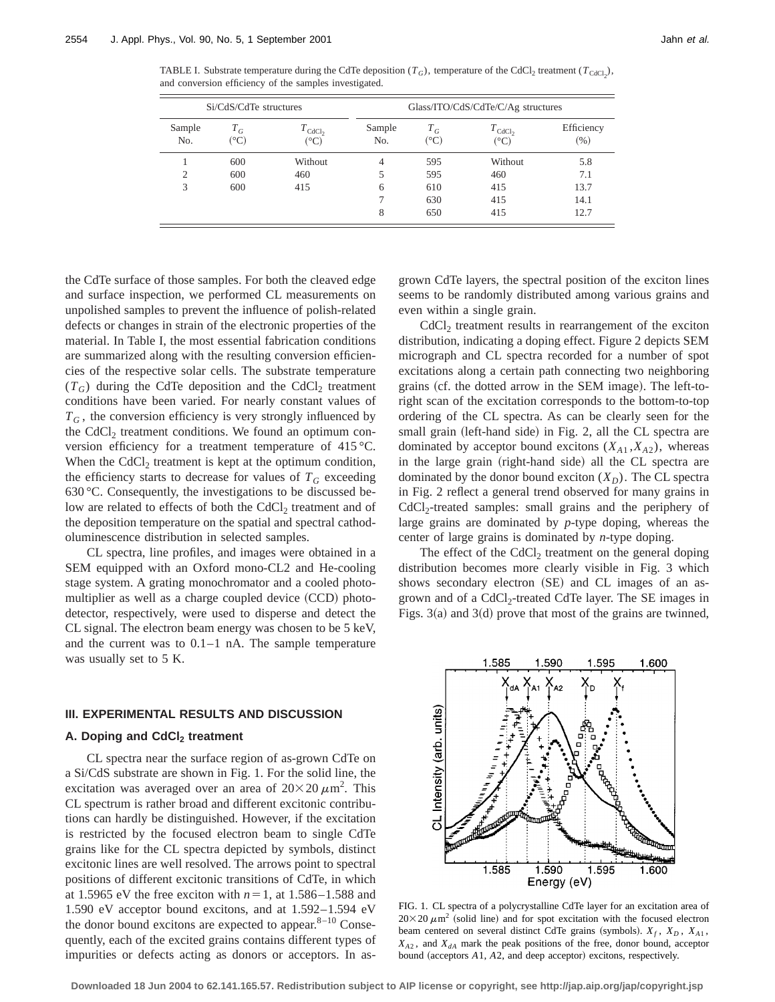TABLE I. Substrate temperature during the CdTe deposition  $(T_G)$ , temperature of the CdCl<sub>2</sub> treatment  $(T_{\text{CdCl}_2})$ , and conversion efficiency of the samples investigated.

| Si/CdS/CdTe structures |                                 |                                               | Glass/ITO/CdS/CdTe/C/Ag structures |               |                                     |                    |
|------------------------|---------------------------------|-----------------------------------------------|------------------------------------|---------------|-------------------------------------|--------------------|
| Sample<br>No.          | $T_G$<br>$({}^\circ\mathrm{C})$ | $T_{\text{CdCl}_2}$<br>$({}^\circ\mathrm{C})$ | Sample<br>No.                      | $T_G$<br>(°C) | $T_{\text{CdCl}_2}$<br>$(^\circ C)$ | Efficiency<br>(% ) |
|                        | 600                             | Without                                       | 4                                  | 595           | Without                             | 5.8                |
| 2                      | 600                             | 460                                           |                                    | 595           | 460                                 | 7.1                |
| 3                      | 600                             | 415                                           | 6                                  | 610           | 415                                 | 13.7               |
|                        |                                 |                                               |                                    | 630           | 415                                 | 14.1               |
|                        |                                 |                                               | 8                                  | 650           | 415                                 | 12.7               |

the CdTe surface of those samples. For both the cleaved edge and surface inspection, we performed CL measurements on unpolished samples to prevent the influence of polish-related defects or changes in strain of the electronic properties of the material. In Table I, the most essential fabrication conditions are summarized along with the resulting conversion efficiencies of the respective solar cells. The substrate temperature  $(T_G)$  during the CdTe deposition and the CdCl<sub>2</sub> treatment conditions have been varied. For nearly constant values of  $T_G$ , the conversion efficiency is very strongly influenced by the  $CdCl<sub>2</sub>$  treatment conditions. We found an optimum conversion efficiency for a treatment temperature of 415 °C. When the  $CdCl<sub>2</sub>$  treatment is kept at the optimum condition, the efficiency starts to decrease for values of  $T_G$  exceeding 630 °C. Consequently, the investigations to be discussed below are related to effects of both the CdCl<sub>2</sub> treatment and of the deposition temperature on the spatial and spectral cathodoluminescence distribution in selected samples.

CL spectra, line profiles, and images were obtained in a SEM equipped with an Oxford mono-CL2 and He-cooling stage system. A grating monochromator and a cooled photomultiplier as well as a charge coupled device  $(CCD)$  photodetector, respectively, were used to disperse and detect the CL signal. The electron beam energy was chosen to be 5 keV, and the current was to 0.1–1 nA. The sample temperature was usually set to 5 K.

#### **III. EXPERIMENTAL RESULTS AND DISCUSSION**

# A. Doping and CdCl<sub>2</sub> treatment

CL spectra near the surface region of as-grown CdTe on a Si/CdS substrate are shown in Fig. 1. For the solid line, the excitation was averaged over an area of  $20\times20 \ \mu \text{m}^2$ . This CL spectrum is rather broad and different excitonic contributions can hardly be distinguished. However, if the excitation is restricted by the focused electron beam to single CdTe grains like for the CL spectra depicted by symbols, distinct excitonic lines are well resolved. The arrows point to spectral positions of different excitonic transitions of CdTe, in which at 1.5965 eV the free exciton with  $n=1$ , at 1.586–1.588 and 1.590 eV acceptor bound excitons, and at 1.592–1.594 eV the donor bound excitons are expected to appear. $8-10$  Consequently, each of the excited grains contains different types of impurities or defects acting as donors or acceptors. In asgrown CdTe layers, the spectral position of the exciton lines seems to be randomly distributed among various grains and even within a single grain.

 $CdCl<sub>2</sub>$  treatment results in rearrangement of the exciton distribution, indicating a doping effect. Figure 2 depicts SEM micrograph and CL spectra recorded for a number of spot excitations along a certain path connecting two neighboring grains (cf. the dotted arrow in the SEM image). The left-toright scan of the excitation corresponds to the bottom-to-top ordering of the CL spectra. As can be clearly seen for the small grain (left-hand side) in Fig. 2, all the CL spectra are dominated by acceptor bound excitons  $(X_{A1}, X_{A2})$ , whereas in the large grain (right-hand side) all the CL spectra are dominated by the donor bound exciton  $(X_D)$ . The CL spectra in Fig. 2 reflect a general trend observed for many grains in CdCl<sub>2</sub>-treated samples: small grains and the periphery of large grains are dominated by *p*-type doping, whereas the center of large grains is dominated by *n*-type doping.

The effect of the  $CdCl<sub>2</sub>$  treatment on the general doping distribution becomes more clearly visible in Fig. 3 which shows secondary electron (SE) and CL images of an asgrown and of a  $CdCl<sub>2</sub>$ -treated CdTe layer. The SE images in Figs. 3(a) and 3(d) prove that most of the grains are twinned,



FIG. 1. CL spectra of a polycrystalline CdTe layer for an excitation area of  $20\times20 \ \mu m^2$  (solid line) and for spot excitation with the focused electron beam centered on several distinct CdTe grains (symbols).  $X_f$ ,  $X_D$ ,  $X_{A1}$ ,  $X_{A2}$ , and  $X_{dA}$  mark the peak positions of the free, donor bound, acceptor bound (acceptors  $A1$ ,  $A2$ , and deep acceptor) excitons, respectively.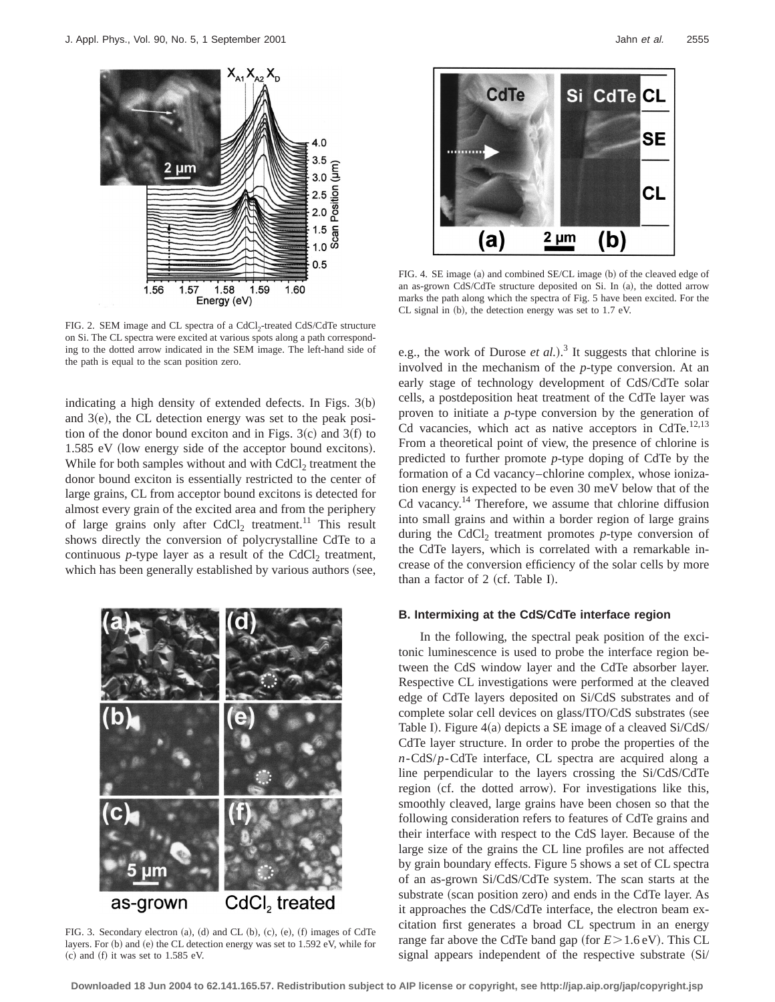

FIG. 2. SEM image and CL spectra of a CdCl<sub>2</sub>-treated CdS/CdTe structure on Si. The CL spectra were excited at various spots along a path corresponding to the dotted arrow indicated in the SEM image. The left-hand side of the path is equal to the scan position zero.

indicating a high density of extended defects. In Figs.  $3(b)$ and  $3(e)$ , the CL detection energy was set to the peak position of the donor bound exciton and in Figs.  $3(c)$  and  $3(f)$  to  $1.585$  eV (low energy side of the acceptor bound excitons). While for both samples without and with  $CdCl<sub>2</sub>$  treatment the donor bound exciton is essentially restricted to the center of large grains, CL from acceptor bound excitons is detected for almost every grain of the excited area and from the periphery of large grains only after  $CdCl<sub>2</sub>$  treatment.<sup>11</sup> This result shows directly the conversion of polycrystalline CdTe to a continuous  $p$ -type layer as a result of the CdCl<sub>2</sub> treatment, which has been generally established by various authors (see,



FIG. 3. Secondary electron  $(a)$ ,  $(d)$  and CL  $(b)$ ,  $(c)$ ,  $(e)$ ,  $(f)$  images of CdTe layers. For (b) and (e) the CL detection energy was set to 1.592 eV, while for  $~(c)$  and  $~(f)$  it was set to 1.585 eV.



FIG. 4. SE image (a) and combined SE/CL image (b) of the cleaved edge of an as-grown CdS/CdTe structure deposited on Si. In (a), the dotted arrow marks the path along which the spectra of Fig. 5 have been excited. For the  $CL$  signal in  $(b)$ , the detection energy was set to 1.7 eV.

e.g., the work of Durose  $et al$ .).<sup>3</sup> It suggests that chlorine is involved in the mechanism of the *p*-type conversion. At an early stage of technology development of CdS/CdTe solar cells, a postdeposition heat treatment of the CdTe layer was proven to initiate a *p*-type conversion by the generation of Cd vacancies, which act as native acceptors in CdTe. $^{12,13}$ From a theoretical point of view, the presence of chlorine is predicted to further promote *p*-type doping of CdTe by the formation of a Cd vacancy–chlorine complex, whose ionization energy is expected to be even 30 meV below that of the Cd vacancy.<sup>14</sup> Therefore, we assume that chlorine diffusion into small grains and within a border region of large grains during the CdCl<sub>2</sub> treatment promotes  $p$ -type conversion of the CdTe layers, which is correlated with a remarkable increase of the conversion efficiency of the solar cells by more than a factor of  $2$  (cf. Table I).

## **B. Intermixing at the CdS/CdTe interface region**

In the following, the spectral peak position of the excitonic luminescence is used to probe the interface region between the CdS window layer and the CdTe absorber layer. Respective CL investigations were performed at the cleaved edge of CdTe layers deposited on Si/CdS substrates and of complete solar cell devices on glass/ITO/CdS substrates (see Table I). Figure  $4(a)$  depicts a SE image of a cleaved Si/CdS/ CdTe layer structure. In order to probe the properties of the *n*-CdS/*p*-CdTe interface, CL spectra are acquired along a line perpendicular to the layers crossing the Si/CdS/CdTe region (cf. the dotted arrow). For investigations like this, smoothly cleaved, large grains have been chosen so that the following consideration refers to features of CdTe grains and their interface with respect to the CdS layer. Because of the large size of the grains the CL line profiles are not affected by grain boundary effects. Figure 5 shows a set of CL spectra of an as-grown Si/CdS/CdTe system. The scan starts at the substrate (scan position zero) and ends in the CdTe layer. As it approaches the CdS/CdTe interface, the electron beam excitation first generates a broad CL spectrum in an energy range far above the CdTe band gap (for  $E > 1.6$  eV). This CL signal appears independent of the respective substrate  $(Si/$ 

**Downloaded 18 Jun 2004 to 62.141.165.57. Redistribution subject to AIP license or copyright, see http://jap.aip.org/jap/copyright.jsp**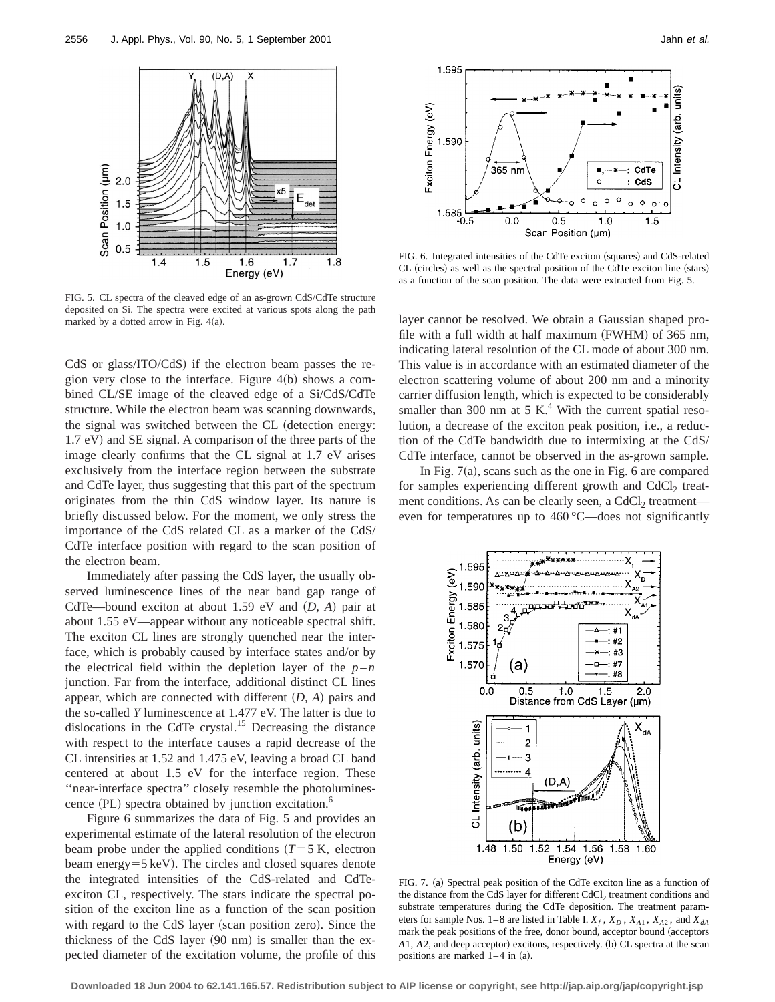

FIG. 5. CL spectra of the cleaved edge of an as-grown CdS/CdTe structure deposited on Si. The spectra were excited at various spots along the path marked by a dotted arrow in Fig.  $4(a)$ .

CdS or glass/ITO/CdS) if the electron beam passes the region very close to the interface. Figure  $4(b)$  shows a combined CL/SE image of the cleaved edge of a Si/CdS/CdTe structure. While the electron beam was scanning downwards, the signal was switched between the CL (detection energy: 1.7 eV) and SE signal. A comparison of the three parts of the image clearly confirms that the CL signal at 1.7 eV arises exclusively from the interface region between the substrate and CdTe layer, thus suggesting that this part of the spectrum originates from the thin CdS window layer. Its nature is briefly discussed below. For the moment, we only stress the importance of the CdS related CL as a marker of the CdS/ CdTe interface position with regard to the scan position of the electron beam.

Immediately after passing the CdS layer, the usually observed luminescence lines of the near band gap range of CdTe—bound exciton at about 1.59 eV and  $(D, A)$  pair at about 1.55 eV—appear without any noticeable spectral shift. The exciton CL lines are strongly quenched near the interface, which is probably caused by interface states and/or by the electrical field within the depletion layer of the  $p - n$ junction. Far from the interface, additional distinct CL lines appear, which are connected with different  $(D, A)$  pairs and the so-called *Y* luminescence at 1.477 eV. The latter is due to dislocations in the CdTe crystal.<sup>15</sup> Decreasing the distance with respect to the interface causes a rapid decrease of the CL intensities at 1.52 and 1.475 eV, leaving a broad CL band centered at about 1.5 eV for the interface region. These ''near-interface spectra'' closely resemble the photoluminescence  $(PL)$  spectra obtained by junction excitation.<sup>6</sup>

Figure 6 summarizes the data of Fig. 5 and provides an experimental estimate of the lateral resolution of the electron beam probe under the applied conditions  $(T=5 K,$  electron beam energy= $5 \,\text{keV}$ ). The circles and closed squares denote the integrated intensities of the CdS-related and CdTeexciton CL, respectively. The stars indicate the spectral position of the exciton line as a function of the scan position with regard to the CdS layer (scan position zero). Since the thickness of the CdS layer  $(90 \text{ nm})$  is smaller than the expected diameter of the excitation volume, the profile of this



FIG. 6. Integrated intensities of the CdTe exciton (squares) and CdS-related CL (circles) as well as the spectral position of the CdTe exciton line (stars) as a function of the scan position. The data were extracted from Fig. 5.

layer cannot be resolved. We obtain a Gaussian shaped profile with a full width at half maximum (FWHM) of  $365$  nm, indicating lateral resolution of the CL mode of about 300 nm. This value is in accordance with an estimated diameter of the electron scattering volume of about 200 nm and a minority carrier diffusion length, which is expected to be considerably smaller than 300 nm at 5 K.<sup>4</sup> With the current spatial resolution, a decrease of the exciton peak position, i.e., a reduction of the CdTe bandwidth due to intermixing at the CdS/ CdTe interface, cannot be observed in the as-grown sample.

In Fig.  $7(a)$ , scans such as the one in Fig. 6 are compared for samples experiencing different growth and  $CdCl<sub>2</sub>$  treatment conditions. As can be clearly seen, a  $CdCl<sub>2</sub>$  treatment even for temperatures up to 460 °C—does not significantly



FIG. 7. (a) Spectral peak position of the CdTe exciton line as a function of the distance from the CdS layer for different CdCl<sub>2</sub> treatment conditions and substrate temperatures during the CdTe deposition. The treatment parameters for sample Nos. 1–8 are listed in Table I.  $X_f$ ,  $X_D$ ,  $X_{A1}$ ,  $X_{A2}$ , and  $X_{dA}$ mark the peak positions of the free, donor bound, acceptor bound (acceptors *A*1, *A*2, and deep acceptor) excitons, respectively. (b) CL spectra at the scan positions are marked  $1-4$  in  $(a)$ .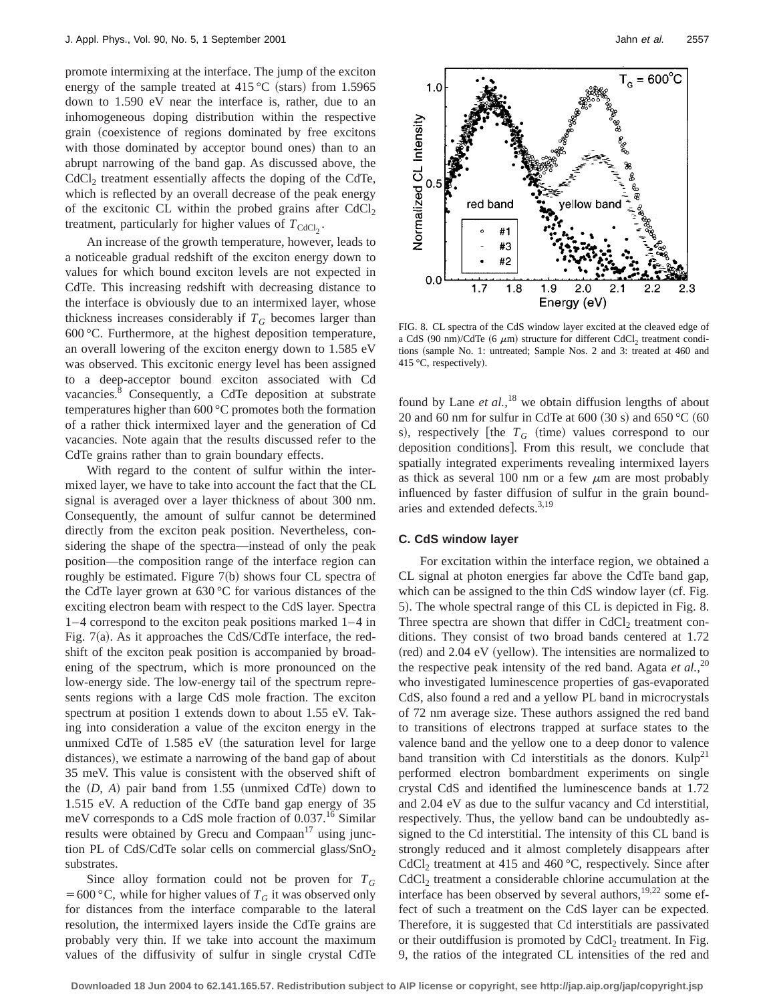promote intermixing at the interface. The jump of the exciton energy of the sample treated at  $415 \degree C$  (stars) from 1.5965 down to 1.590 eV near the interface is, rather, due to an inhomogeneous doping distribution within the respective grain (coexistence of regions dominated by free excitons with those dominated by acceptor bound ones) than to an abrupt narrowing of the band gap. As discussed above, the  $CdCl<sub>2</sub>$  treatment essentially affects the doping of the CdTe, which is reflected by an overall decrease of the peak energy of the excitonic CL within the probed grains after  $CdCl<sub>2</sub>$ treatment, particularly for higher values of  $T_{\text{CdCl}_2}$ .

An increase of the growth temperature, however, leads to a noticeable gradual redshift of the exciton energy down to values for which bound exciton levels are not expected in CdTe. This increasing redshift with decreasing distance to the interface is obviously due to an intermixed layer, whose thickness increases considerably if  $T_G$  becomes larger than 600 °C. Furthermore, at the highest deposition temperature, an overall lowering of the exciton energy down to 1.585 eV was observed. This excitonic energy level has been assigned to a deep-acceptor bound exciton associated with Cd vacancies.<sup>8</sup> Consequently, a CdTe deposition at substrate temperatures higher than 600 °C promotes both the formation of a rather thick intermixed layer and the generation of Cd vacancies. Note again that the results discussed refer to the CdTe grains rather than to grain boundary effects.

With regard to the content of sulfur within the intermixed layer, we have to take into account the fact that the CL signal is averaged over a layer thickness of about 300 nm. Consequently, the amount of sulfur cannot be determined directly from the exciton peak position. Nevertheless, considering the shape of the spectra—instead of only the peak position—the composition range of the interface region can roughly be estimated. Figure  $7(b)$  shows four CL spectra of the CdTe layer grown at 630 °C for various distances of the exciting electron beam with respect to the CdS layer. Spectra 1–4 correspond to the exciton peak positions marked 1–4 in Fig.  $7(a)$ . As it approaches the CdS/CdTe interface, the redshift of the exciton peak position is accompanied by broadening of the spectrum, which is more pronounced on the low-energy side. The low-energy tail of the spectrum represents regions with a large CdS mole fraction. The exciton spectrum at position 1 extends down to about 1.55 eV. Taking into consideration a value of the exciton energy in the unmixed CdTe of  $1.585$  eV (the saturation level for large distances), we estimate a narrowing of the band gap of about 35 meV. This value is consistent with the observed shift of the  $(D, A)$  pair band from 1.55 (unmixed CdTe) down to 1.515 eV. A reduction of the CdTe band gap energy of 35 meV corresponds to a CdS mole fraction of 0.037.<sup>16</sup> Similar results were obtained by Grecu and Compaan $17$  using junction PL of CdS/CdTe solar cells on commercial glass/ $SnO<sub>2</sub>$ substrates.

Since alloy formation could not be proven for  $T_G$ = 600 °C, while for higher values of  $T_G$  it was observed only for distances from the interface comparable to the lateral resolution, the intermixed layers inside the CdTe grains are probably very thin. If we take into account the maximum values of the diffusivity of sulfur in single crystal CdTe



FIG. 8. CL spectra of the CdS window layer excited at the cleaved edge of a CdS (90 nm)/CdTe (6  $\mu$ m) structure for different CdCl<sub>2</sub> treatment conditions (sample No. 1: untreated; Sample Nos. 2 and 3: treated at 460 and 415 °C, respectively).

found by Lane *et al.*,<sup>18</sup> we obtain diffusion lengths of about 20 and 60 nm for sulfur in CdTe at 600 (30 s) and 650 °C (60 s), respectively [the  $T_G$  (time) values correspond to our deposition conditions]. From this result, we conclude that spatially integrated experiments revealing intermixed layers as thick as several 100 nm or a few  $\mu$ m are most probably influenced by faster diffusion of sulfur in the grain boundaries and extended defects.3,19

#### **C. CdS window layer**

For excitation within the interface region, we obtained a CL signal at photon energies far above the CdTe band gap, which can be assigned to the thin CdS window layer (cf. Fig. 5). The whole spectral range of this CL is depicted in Fig. 8. Three spectra are shown that differ in  $CdCl<sub>2</sub>$  treatment conditions. They consist of two broad bands centered at 1.72 (red) and 2.04 eV (yellow). The intensities are normalized to the respective peak intensity of the red band. Agata *et al.*, 20 who investigated luminescence properties of gas-evaporated CdS, also found a red and a yellow PL band in microcrystals of 72 nm average size. These authors assigned the red band to transitions of electrons trapped at surface states to the valence band and the yellow one to a deep donor to valence band transition with Cd interstitials as the donors.  $Kulp^{21}$ performed electron bombardment experiments on single crystal CdS and identified the luminescence bands at 1.72 and 2.04 eV as due to the sulfur vacancy and Cd interstitial, respectively. Thus, the yellow band can be undoubtedly assigned to the Cd interstitial. The intensity of this CL band is strongly reduced and it almost completely disappears after CdCl<sub>2</sub> treatment at 415 and 460  $^{\circ}$ C, respectively. Since after CdCl<sub>2</sub> treatment a considerable chlorine accumulation at the interface has been observed by several authors,  $19,22$  some effect of such a treatment on the CdS layer can be expected. Therefore, it is suggested that Cd interstitials are passivated or their outdiffusion is promoted by  $CdCl<sub>2</sub>$  treatment. In Fig. 9, the ratios of the integrated CL intensities of the red and